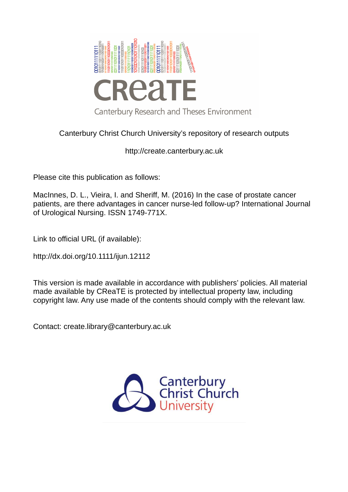

Canterbury Christ Church University's repository of research outputs

http://create.canterbury.ac.uk

Please cite this publication as follows:

MacInnes, D. L., Vieira, I. and Sheriff, M. (2016) In the case of prostate cancer patients, are there advantages in cancer nurse-led follow-up? International Journal of Urological Nursing. ISSN 1749-771X.

Link to official URL (if available):

http://dx.doi.org/10.1111/ijun.12112

This version is made available in accordance with publishers' policies. All material made available by CReaTE is protected by intellectual property law, including copyright law. Any use made of the contents should comply with the relevant law.

Contact: create.library@canterbury.ac.uk

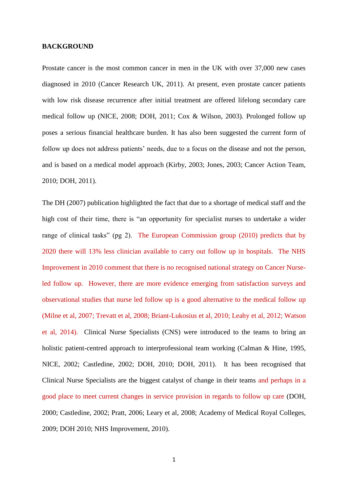### **BACKGROUND**

Prostate cancer is the most common cancer in men in the UK with over 37,000 new cases diagnosed in 2010 (Cancer Research UK, 2011). At present, even prostate cancer patients with low risk disease recurrence after initial treatment are offered lifelong secondary care medical follow up (NICE, 2008; DOH, 2011; Cox & Wilson, 2003). Prolonged follow up poses a serious financial healthcare burden. It has also been suggested the current form of follow up does not address patients' needs, due to a focus on the disease and not the person, and is based on a medical model approach (Kirby, 2003; Jones, 2003; Cancer Action Team, 2010; DOH, 2011).

The DH (2007) publication highlighted the fact that due to a shortage of medical staff and the high cost of their time, there is "an opportunity for specialist nurses to undertake a wider range of clinical tasks" (pg 2). The European Commission group (2010) predicts that by 2020 there will 13% less clinician available to carry out follow up in hospitals. The NHS Improvement in 2010 comment that there is no recognised national strategy on Cancer Nurseled follow up. However, there are more evidence emerging from satisfaction surveys and observational studies that nurse led follow up is a good alternative to the medical follow up (Milne et al, 2007; Trevatt et al, 2008; Briant-Lukosius et al, 2010; Leahy et al, 2012; Watson et al, 2014). Clinical Nurse Specialists (CNS) were introduced to the teams to bring an holistic patient-centred approach to interprofessional team working (Calman & Hine, 1995, NICE, 2002; Castledine, 2002; DOH, 2010; DOH, 2011). It has been recognised that Clinical Nurse Specialists are the biggest catalyst of change in their teams and perhaps in a good place to meet current changes in service provision in regards to follow up care (DOH, 2000; Castledine, 2002; Pratt, 2006; Leary et al, 2008; Academy of Medical Royal Colleges, 2009; DOH 2010; NHS Improvement, 2010).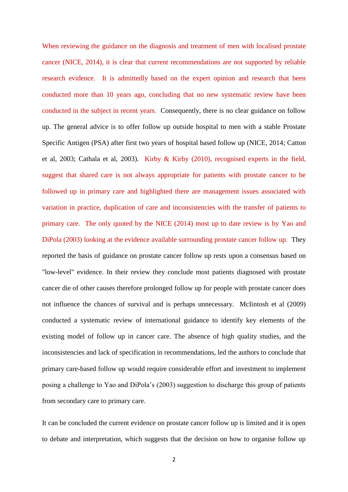When reviewing the guidance on the diagnosis and treatment of men with localised prostate cancer (NICE, 2014), it is clear that current recommendations are not supported by reliable research evidence. It is admittedly based on the expert opinion and research that been conducted more than 10 years ago, concluding that no new systematic review have been conducted in the subject in recent years. Consequently, there is no clear guidance on follow up. The general advice is to offer follow up outside hospital to men with a stable Prostate Specific Antigen (PSA) after first two years of hospital based follow up (NICE, 2014; Catton et al, 2003; Cathala et al, 2003). Kirby & Kirby (2010), recognised experts in the field, suggest that shared care is not always appropriate for patients with prostate cancer to be followed up in primary care and highlighted there are management issues associated with variation in practice, duplication of care and inconsistencies with the transfer of patients to primary care. The only quoted by the NICE (2014) most up to date review is by Yao and DiPola (2003) looking at the evidence available surrounding prostate cancer follow up. They reported the basis of guidance on prostate cancer follow up rests upon a consensus based on "low-level" evidence. In their review they conclude most patients diagnosed with prostate cancer die of other causes therefore prolonged follow up for people with prostate cancer does not influence the chances of survival and is perhaps unnecessary. McIintosh et al (2009) conducted a systematic review of international guidance to identify key elements of the existing model of follow up in cancer care. The absence of high quality studies, and the inconsistencies and lack of specification in recommendations, led the authors to conclude that primary care-based follow up would require considerable effort and investment to implement posing a challenge to Yao and DiPola's (2003) suggestion to discharge this group of patients from secondary care to primary care.

It can be concluded the current evidence on prostate cancer follow up is limited and it is open to debate and interpretation, which suggests that the decision on how to organise follow up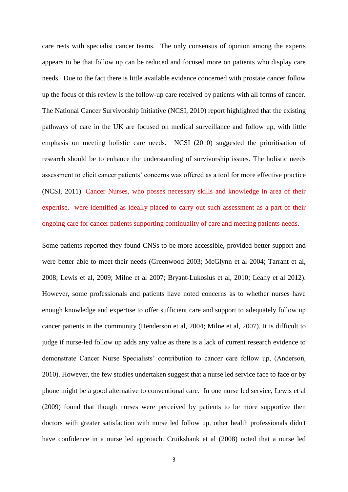care rests with specialist cancer teams. The only consensus of opinion among the experts appears to be that follow up can be reduced and focused more on patients who display care needs. Due to the fact there is little available evidence concerned with prostate cancer follow up the focus of this review is the follow-up care received by patients with all forms of cancer. The National Cancer Survivorship Initiative (NCSI, 2010) report highlighted that the existing pathways of care in the UK are focused on medical surveillance and follow up, with little emphasis on meeting holistic care needs. NCSI (2010) suggested the prioritisation of research should be to enhance the understanding of survivorship issues. The holistic needs assessment to elicit cancer patients' concerns was offered as a tool for more effective practice (NCSI, 2011). Cancer Nurses, who posses necessary skills and knowledge in area of their expertise, were identified as ideally placed to carry out such assessment as a part of their ongoing care for cancer patients supporting continuality of care and meeting patients needs.

Some patients reported they found CNSs to be more accessible, provided better support and were better able to meet their needs (Greenwood 2003; McGlynn et al 2004; Tarrant et al, 2008; Lewis et al, 2009; Milne et al 2007; Bryant-Lukosius et al, 2010; Leahy et al 2012). However, some professionals and patients have noted concerns as to whether nurses have enough knowledge and expertise to offer sufficient care and support to adequately follow up cancer patients in the community (Henderson et al, 2004; Milne et al, 2007). It is difficult to judge if nurse-led follow up adds any value as there is a lack of current research evidence to demonstrate Cancer Nurse Specialists' contribution to cancer care follow up, (Anderson, 2010). However, the few studies undertaken suggest that a nurse led service face to face or by phone might be a good alternative to conventional care. In one nurse led service, Lewis et al (2009) found that though nurses were perceived by patients to be more supportive then doctors with greater satisfaction with nurse led follow up, other health professionals didn't have confidence in a nurse led approach. Cruikshank et al (2008) noted that a nurse led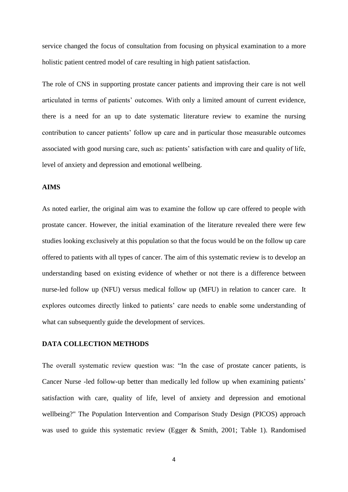service changed the focus of consultation from focusing on physical examination to a more holistic patient centred model of care resulting in high patient satisfaction.

The role of CNS in supporting prostate cancer patients and improving their care is not well articulated in terms of patients' outcomes. With only a limited amount of current evidence, there is a need for an up to date systematic literature review to examine the nursing contribution to cancer patients' follow up care and in particular those measurable outcomes associated with good nursing care, such as: patients' satisfaction with care and quality of life, level of anxiety and depression and emotional wellbeing.

# **AIMS**

As noted earlier, the original aim was to examine the follow up care offered to people with prostate cancer. However, the initial examination of the literature revealed there were few studies looking exclusively at this population so that the focus would be on the follow up care offered to patients with all types of cancer. The aim of this systematic review is to develop an understanding based on existing evidence of whether or not there is a difference between nurse-led follow up (NFU) versus medical follow up (MFU) in relation to cancer care. It explores outcomes directly linked to patients' care needs to enable some understanding of what can subsequently guide the development of services.

# **DATA COLLECTION METHODS**

The overall systematic review question was: "In the case of prostate cancer patients, is Cancer Nurse -led follow-up better than medically led follow up when examining patients' satisfaction with care, quality of life, level of anxiety and depression and emotional wellbeing?" The Population Intervention and Comparison Study Design (PICOS) approach was used to guide this systematic review (Egger & Smith, 2001; Table 1). Randomised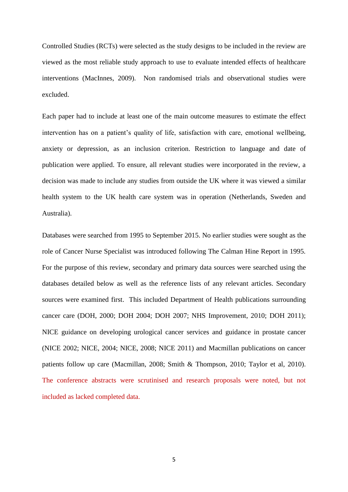Controlled Studies (RCTs) were selected as the study designs to be included in the review are viewed as the most reliable study approach to use to evaluate intended effects of healthcare interventions (MacInnes, 2009). Non randomised trials and observational studies were excluded.

Each paper had to include at least one of the main outcome measures to estimate the effect intervention has on a patient's quality of life, satisfaction with care, emotional wellbeing, anxiety or depression, as an inclusion criterion. Restriction to language and date of publication were applied. To ensure, all relevant studies were incorporated in the review, a decision was made to include any studies from outside the UK where it was viewed a similar health system to the UK health care system was in operation (Netherlands, Sweden and Australia).

Databases were searched from 1995 to September 2015. No earlier studies were sought as the role of Cancer Nurse Specialist was introduced following The Calman Hine Report in 1995. For the purpose of this review, secondary and primary data sources were searched using the databases detailed below as well as the reference lists of any relevant articles. Secondary sources were examined first. This included Department of Health publications surrounding cancer care (DOH, 2000; DOH 2004; DOH 2007; NHS Improvement, 2010; DOH 2011); NICE guidance on developing urological cancer services and guidance in prostate cancer (NICE 2002; NICE, 2004; NICE, 2008; NICE 2011) and Macmillan publications on cancer patients follow up care (Macmillan, 2008; Smith & Thompson, 2010; Taylor et al, 2010). The conference abstracts were scrutinised and research proposals were noted, but not included as lacked completed data.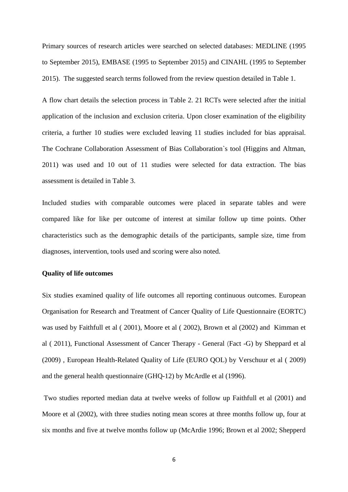Primary sources of research articles were searched on selected databases: MEDLINE (1995 to September 2015), EMBASE (1995 to September 2015) and CINAHL (1995 to September 2015). The suggested search terms followed from the review question detailed in Table 1.

A flow chart details the selection process in Table 2. 21 RCTs were selected after the initial application of the inclusion and exclusion criteria. Upon closer examination of the eligibility criteria, a further 10 studies were excluded leaving 11 studies included for bias appraisal. The Cochrane Collaboration Assessment of Bias Collaboration`s tool (Higgins and Altman, 2011) was used and 10 out of 11 studies were selected for data extraction. The bias assessment is detailed in Table 3.

Included studies with comparable outcomes were placed in separate tables and were compared like for like per outcome of interest at similar follow up time points. Other characteristics such as the demographic details of the participants, sample size, time from diagnoses, intervention, tools used and scoring were also noted.

#### **Quality of life outcomes**

Six studies examined quality of life outcomes all reporting continuous outcomes. European Organisation for Research and Treatment of Cancer Quality of Life Questionnaire (EORTC) was used by Faithfull et al ( 2001), Moore et al ( 2002), Brown et al (2002) and Kimman et al ( 2011), Functional Assessment of Cancer Therapy - General (Fact -G) by Sheppard et al (2009) , European Health-Related Quality of Life (EURO QOL) by Verschuur et al ( 2009) and the general health questionnaire (GHQ-12) by McArdle et al (1996).

 Two studies reported median data at twelve weeks of follow up Faithfull et al (2001) and Moore et al (2002), with three studies noting mean scores at three months follow up, four at six months and five at twelve months follow up (McArdie 1996; Brown et al 2002; Shepperd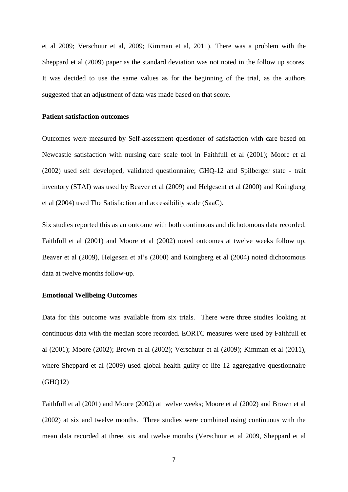et al 2009; Verschuur et al, 2009; Kimman et al, 2011). There was a problem with the Sheppard et al (2009) paper as the standard deviation was not noted in the follow up scores. It was decided to use the same values as for the beginning of the trial, as the authors suggested that an adjustment of data was made based on that score.

### **Patient satisfaction outcomes**

Outcomes were measured by Self-assessment questioner of satisfaction with care based on Newcastle satisfaction with nursing care scale tool in Faithfull et al (2001); Moore et al (2002) used self developed, validated questionnaire; GHQ-12 and Spilberger state - trait inventory (STAI) was used by Beaver et al (2009) and Helgesent et al (2000) and Koingberg et al (2004) used The Satisfaction and accessibility scale (SaaC).

Six studies reported this as an outcome with both continuous and dichotomous data recorded. Faithfull et al (2001) and Moore et al (2002) noted outcomes at twelve weeks follow up. Beaver et al (2009), Helgesen et al's (2000) and Koingberg et al (2004) noted dichotomous data at twelve months follow-up.

### **Emotional Wellbeing Outcomes**

Data for this outcome was available from six trials. There were three studies looking at continuous data with the median score recorded. EORTC measures were used by Faithfull et al (2001); Moore (2002); Brown et al (2002); Verschuur et al (2009); Kimman et al (2011), where Sheppard et al (2009) used global health guilty of life 12 aggregative questionnaire (GHQ12)

Faithfull et al (2001) and Moore (2002) at twelve weeks; Moore et al (2002) and Brown et al (2002) at six and twelve months. Three studies were combined using continuous with the mean data recorded at three, six and twelve months (Verschuur et al 2009, Sheppard et al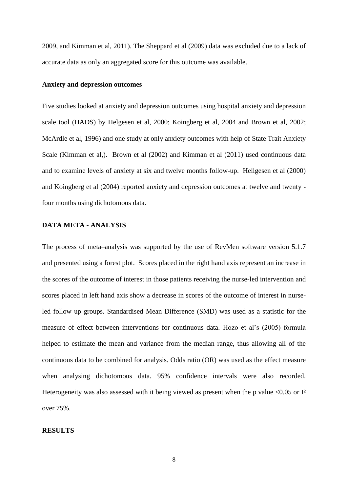2009, and Kimman et al, 2011). The Sheppard et al (2009) data was excluded due to a lack of accurate data as only an aggregated score for this outcome was available.

#### **Anxiety and depression outcomes**

Five studies looked at anxiety and depression outcomes using hospital anxiety and depression scale tool (HADS) by Helgesen et al, 2000; Koingberg et al, 2004 and Brown et al, 2002; McArdle et al, 1996) and one study at only anxiety outcomes with help of State Trait Anxiety Scale (Kimman et al,). Brown et al (2002) and Kimman et al (2011) used continuous data and to examine levels of anxiety at six and twelve months follow-up. Hellgesen et al (2000) and Koingberg et al (2004) reported anxiety and depression outcomes at twelve and twenty four months using dichotomous data.

# **DATA META - ANALYSIS**

The process of meta–analysis was supported by the use of RevMen software version 5.1.7 and presented using a forest plot. Scores placed in the right hand axis represent an increase in the scores of the outcome of interest in those patients receiving the nurse-led intervention and scores placed in left hand axis show a decrease in scores of the outcome of interest in nurseled follow up groups. Standardised Mean Difference (SMD) was used as a statistic for the measure of effect between interventions for continuous data. Hozo et al's (2005) formula helped to estimate the mean and variance from the median range, thus allowing all of the continuous data to be combined for analysis. Odds ratio (OR) was used as the effect measure when analysing dichotomous data. 95% confidence intervals were also recorded. Heterogeneity was also assessed with it being viewed as present when the p value  $\langle 0.05 \text{ or } I^2 \rangle$ over 75%.

## **RESULTS**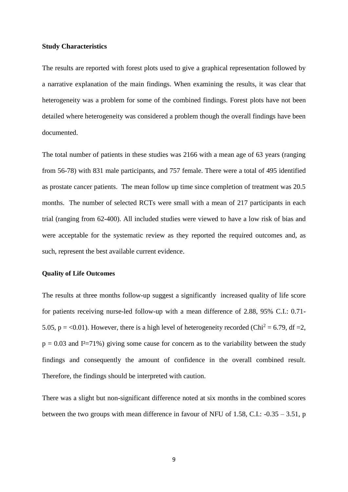#### **Study Characteristics**

The results are reported with forest plots used to give a graphical representation followed by a narrative explanation of the main findings. When examining the results, it was clear that heterogeneity was a problem for some of the combined findings. Forest plots have not been detailed where heterogeneity was considered a problem though the overall findings have been documented.

The total number of patients in these studies was 2166 with a mean age of 63 years (ranging from 56-78) with 831 male participants, and 757 female. There were a total of 495 identified as prostate cancer patients. The mean follow up time since completion of treatment was 20.5 months. The number of selected RCTs were small with a mean of 217 participants in each trial (ranging from 62-400). All included studies were viewed to have a low risk of bias and were acceptable for the systematic review as they reported the required outcomes and, as such, represent the best available current evidence.

## **Quality of Life Outcomes**

The results at three months follow-up suggest a significantly increased quality of life score for patients receiving nurse-led follow-up with a mean difference of 2.88, 95% C.I.: 0.71- 5.05,  $p = <0.01$ ). However, there is a high level of heterogeneity recorded (Chi<sup>2</sup> = 6.79, df = 2,  $p = 0.03$  and I<sup>2</sup>=71%) giving some cause for concern as to the variability between the study findings and consequently the amount of confidence in the overall combined result. Therefore, the findings should be interpreted with caution.

There was a slight but non-significant difference noted at six months in the combined scores between the two groups with mean difference in favour of NFU of 1.58, C.I.: -0.35 – 3.51, p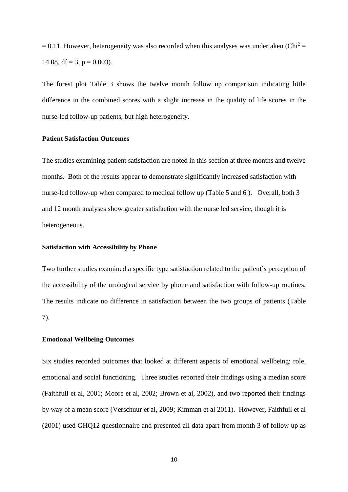$= 0.11$ . However, heterogeneity was also recorded when this analyses was undertaken (Chi<sup>2</sup> = 14.08, df = 3, p = 0.003).

The forest plot Table 3 shows the twelve month follow up comparison indicating little difference in the combined scores with a slight increase in the quality of life scores in the nurse-led follow-up patients, but high heterogeneity.

# **Patient Satisfaction Outcomes**

The studies examining patient satisfaction are noted in this section at three months and twelve months. Both of the results appear to demonstrate significantly increased satisfaction with nurse-led follow-up when compared to medical follow up (Table 5 and 6 ). Overall, both 3 and 12 month analyses show greater satisfaction with the nurse led service, though it is heterogeneous.

# **Satisfaction with Accessibility by Phone**

Two further studies examined a specific type satisfaction related to the patient`s perception of the accessibility of the urological service by phone and satisfaction with follow-up routines. The results indicate no difference in satisfaction between the two groups of patients (Table 7).

#### **Emotional Wellbeing Outcomes**

Six studies recorded outcomes that looked at different aspects of emotional wellbeing: role, emotional and social functioning. Three studies reported their findings using a median score (Faithfull et al, 2001; Moore et al, 2002; Brown et al, 2002), and two reported their findings by way of a mean score (Verschuur et al, 2009; Kimman et al 2011). However, Faithfull et al (2001) used GHQ12 questionnaire and presented all data apart from month 3 of follow up as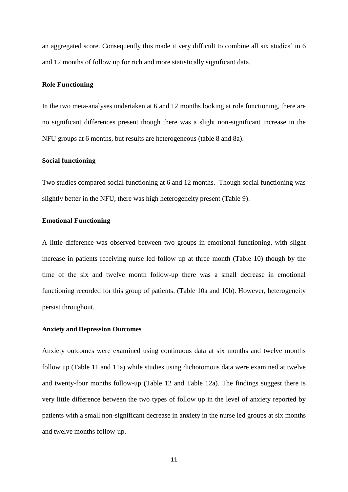an aggregated score. Consequently this made it very difficult to combine all six studies' in 6 and 12 months of follow up for rich and more statistically significant data.

## **Role Functioning**

In the two meta-analyses undertaken at 6 and 12 months looking at role functioning, there are no significant differences present though there was a slight non-significant increase in the NFU groups at 6 months, but results are heterogeneous (table 8 and 8a).

#### **Social functioning**

Two studies compared social functioning at 6 and 12 months. Though social functioning was slightly better in the NFU, there was high heterogeneity present (Table 9).

# **Emotional Functioning**

A little difference was observed between two groups in emotional functioning, with slight increase in patients receiving nurse led follow up at three month (Table 10) though by the time of the six and twelve month follow-up there was a small decrease in emotional functioning recorded for this group of patients. (Table 10a and 10b). However, heterogeneity persist throughout.

# **Anxiety and Depression Outcomes**

Anxiety outcomes were examined using continuous data at six months and twelve months follow up (Table 11 and 11a) while studies using dichotomous data were examined at twelve and twenty-four months follow-up (Table 12 and Table 12a). The findings suggest there is very little difference between the two types of follow up in the level of anxiety reported by patients with a small non-significant decrease in anxiety in the nurse led groups at six months and twelve months follow-up.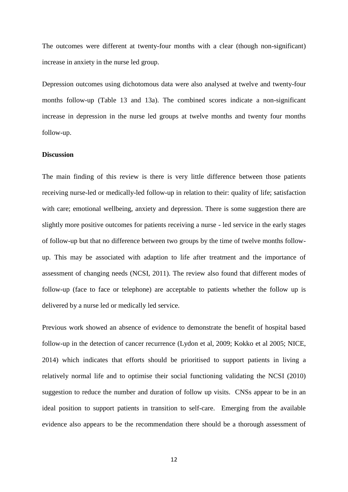The outcomes were different at twenty-four months with a clear (though non-significant) increase in anxiety in the nurse led group.

Depression outcomes using dichotomous data were also analysed at twelve and twenty-four months follow-up (Table 13 and 13a). The combined scores indicate a non-significant increase in depression in the nurse led groups at twelve months and twenty four months follow-up.

# **Discussion**

The main finding of this review is there is very little difference between those patients receiving nurse-led or medically-led follow-up in relation to their: quality of life; satisfaction with care; emotional wellbeing, anxiety and depression. There is some suggestion there are slightly more positive outcomes for patients receiving a nurse - led service in the early stages of follow-up but that no difference between two groups by the time of twelve months followup. This may be associated with adaption to life after treatment and the importance of assessment of changing needs (NCSI, 2011). The review also found that different modes of follow-up (face to face or telephone) are acceptable to patients whether the follow up is delivered by a nurse led or medically led service.

Previous work showed an absence of evidence to demonstrate the benefit of hospital based follow-up in the detection of cancer recurrence (Lydon et al, 2009; Kokko et al 2005; NICE, 2014) which indicates that efforts should be prioritised to support patients in living a relatively normal life and to optimise their social functioning validating the NCSI (2010) suggestion to reduce the number and duration of follow up visits. CNSs appear to be in an ideal position to support patients in transition to self-care. Emerging from the available evidence also appears to be the recommendation there should be a thorough assessment of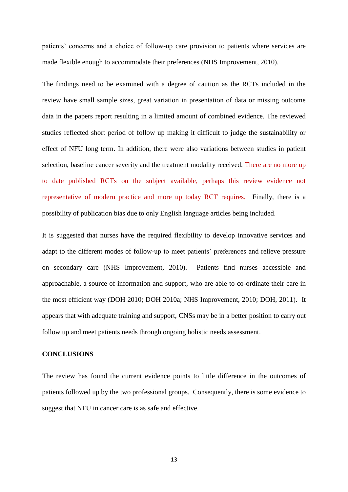patients' concerns and a choice of follow-up care provision to patients where services are made flexible enough to accommodate their preferences (NHS Improvement, 2010).

The findings need to be examined with a degree of caution as the RCTs included in the review have small sample sizes, great variation in presentation of data or missing outcome data in the papers report resulting in a limited amount of combined evidence. The reviewed studies reflected short period of follow up making it difficult to judge the sustainability or effect of NFU long term. In addition, there were also variations between studies in patient selection, baseline cancer severity and the treatment modality received. There are no more up to date published RCTs on the subject available, perhaps this review evidence not representative of modern practice and more up today RCT requires. Finally, there is a possibility of publication bias due to only English language articles being included.

It is suggested that nurses have the required flexibility to develop innovative services and adapt to the different modes of follow-up to meet patients' preferences and relieve pressure on secondary care (NHS Improvement, 2010). Patients find nurses accessible and approachable, a source of information and support, who are able to co-ordinate their care in the most efficient way (DOH 2010; DOH 2010a; NHS Improvement, 2010; DOH, 2011). It appears that with adequate training and support, CNSs may be in a better position to carry out follow up and meet patients needs through ongoing holistic needs assessment.

#### **CONCLUSIONS**

The review has found the current evidence points to little difference in the outcomes of patients followed up by the two professional groups. Consequently, there is some evidence to suggest that NFU in cancer care is as safe and effective.

13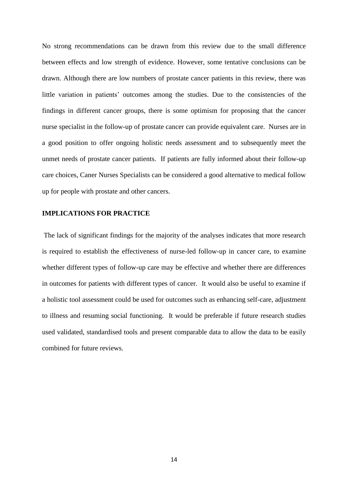No strong recommendations can be drawn from this review due to the small difference between effects and low strength of evidence. However, some tentative conclusions can be drawn. Although there are low numbers of prostate cancer patients in this review, there was little variation in patients' outcomes among the studies. Due to the consistencies of the findings in different cancer groups, there is some optimism for proposing that the cancer nurse specialist in the follow-up of prostate cancer can provide equivalent care. Nurses are in a good position to offer ongoing holistic needs assessment and to subsequently meet the unmet needs of prostate cancer patients. If patients are fully informed about their follow-up care choices, Caner Nurses Specialists can be considered a good alternative to medical follow up for people with prostate and other cancers.

# **IMPLICATIONS FOR PRACTICE**

 The lack of significant findings for the majority of the analyses indicates that more research is required to establish the effectiveness of nurse-led follow-up in cancer care, to examine whether different types of follow-up care may be effective and whether there are differences in outcomes for patients with different types of cancer. It would also be useful to examine if a holistic tool assessment could be used for outcomes such as enhancing self-care, adjustment to illness and resuming social functioning. It would be preferable if future research studies used validated, standardised tools and present comparable data to allow the data to be easily combined for future reviews.